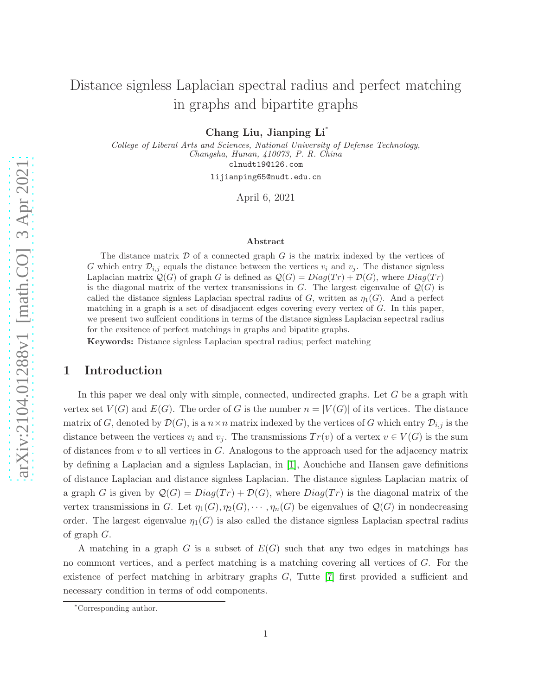# Distance signless Laplacian spectral radius and perfect matching in graphs and bipartite graphs

Chang Liu, Jianping Li<sup>∗</sup>

College of Liberal Arts and Sciences, National University of Defense Technology, Changsha, Hunan, 410073, P. R. China

clnudt19@126.com

lijianping65@nudt.edu.cn

April 6, 2021

#### Abstract

The distance matrix  $D$  of a connected graph  $G$  is the matrix indexed by the vertices of G which entry  $\mathcal{D}_{i,j}$  equals the distance between the vertices  $v_i$  and  $v_j$ . The distance signless Laplacian matrix  $Q(G)$  of graph G is defined as  $Q(G) = Diag(Tr) + D(G)$ , where  $Diag(Tr)$ is the diagonal matrix of the vertex transmissions in G. The largest eigenvalue of  $\mathcal{Q}(G)$  is called the distance signless Laplacian spectral radius of G, written as  $\eta_1(G)$ . And a perfect matching in a graph is a set of disadjacent edges covering every vertex of G. In this paper, we present two suffcient conditions in terms of the distance signless Laplacian sepectral radius for the exsitence of perfect matchings in graphs and bipatite graphs.

Keywords: Distance signless Laplacian spectral radius; perfect matching

#### 1 Introduction

In this paper we deal only with simple, connected, undirected graphs. Let G be a graph with vertex set  $V(G)$  and  $E(G)$ . The order of G is the number  $n = |V(G)|$  of its vertices. The distance matrix of G, denoted by  $\mathcal{D}(G)$ , is a  $n \times n$  matrix indexed by the vertices of G which entry  $\mathcal{D}_{i,j}$  is the distance between the vertices  $v_i$  and  $v_j$ . The transmissions  $Tr(v)$  of a vertex  $v \in V(G)$  is the sum of distances from  $v$  to all vertices in  $G$ . Analogous to the approach used for the adjacency matrix by defining a Laplacian and a signless Laplacian, in [\[1\]](#page-9-0), Aouchiche and Hansen gave definitions of distance Laplacian and distance signless Laplacian. The distance signless Laplacian matrix of a graph G is given by  $\mathcal{Q}(G) = Diag(Tr) + \mathcal{D}(G)$ , where  $Diag(Tr)$  is the diagonal matrix of the vertex transmissions in G. Let  $\eta_1(G), \eta_2(G), \cdots, \eta_n(G)$  be eigenvalues of  $\mathcal{Q}(G)$  in nondecreasing order. The largest eigenvalue  $\eta_1(G)$  is also called the distance signless Laplacian spectral radius of graph G.

A matching in a graph G is a subset of  $E(G)$  such that any two edges in matchings has no commont vertices, and a perfect matching is a matching covering all vertices of G. For the existence of perfect matching in arbitrary graphs  $G$ , Tutte  $[7]$  first provided a sufficient and necessary condition in terms of odd components.

<sup>∗</sup>Corresponding author.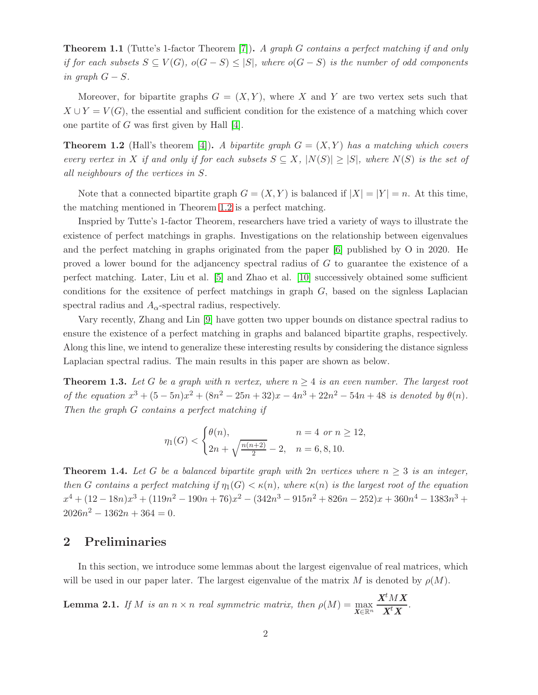<span id="page-1-2"></span>**Theorem 1.1** (Tutte's 1-factor Theorem [\[7\]](#page-9-1)). A graph G contains a perfect matching if and only if for each subsets  $S \subseteq V(G)$ ,  $o(G - S) \leq |S|$ , where  $o(G - S)$  is the number of odd components in graph  $G - S$ .

Moreover, for bipartite graphs  $G = (X, Y)$ , where X and Y are two vertex sets such that  $X \cup Y = V(G)$ , the essential and sufficient condition for the existence of a matching which cover one partite of G was first given by Hall [\[4\]](#page-9-2).

<span id="page-1-0"></span>**Theorem 1.2** (Hall's theorem [\[4\]](#page-9-2)). A bipartite graph  $G = (X, Y)$  has a matching which covers every vertex in X if and only if for each subsets  $S \subseteq X$ ,  $|N(S)| \geq |S|$ , where  $N(S)$  is the set of all neighbours of the vertices in S.

Note that a connected bipartite graph  $G = (X, Y)$  is balanced if  $|X| = |Y| = n$ . At this time, the matching mentioned in Theorem [1.2](#page-1-0) is a perfect matching.

Inspried by Tutte's 1-factor Theorem, researchers have tried a variety of ways to illustrate the existence of perfect matchings in graphs. Investigations on the relationship between eigenvalues and the perfect matching in graphs originated from the paper [\[6\]](#page-9-3) published by O in 2020. He proved a lower bound for the adjancency spectral radius of G to guarantee the existence of a perfect matching. Later, Liu et al. [\[5\]](#page-9-4) and Zhao et al. [\[10\]](#page-9-5) successively obtained some sufficient conditions for the exsitence of perfect matchings in graph  $G$ , based on the signless Laplacian spectral radius and  $A_{\alpha}$ -spectral radius, respectively.

Vary recently, Zhang and Lin [\[9\]](#page-9-6) have gotten two upper bounds on distance spectral radius to ensure the existence of a perfect matching in graphs and balanced bipartite graphs, respectively. Along this line, we intend to generalize these interesting results by considering the distance signless Laplacian spectral radius. The main results in this paper are shown as below.

<span id="page-1-1"></span>**Theorem 1.3.** Let G be a graph with n vertex, where  $n > 4$  is an even number. The largest root of the equation  $x^3 + (5-5n)x^2 + (8n^2 - 25n + 32)x - 4n^3 + 22n^2 - 54n + 48$  is denoted by  $\theta(n)$ . Then the graph G contains a perfect matching if

$$
\eta_1(G) < \begin{cases} \theta(n), & n = 4 \text{ or } n \ge 12, \\ 2n + \sqrt{\frac{n(n+2)}{2}} - 2, & n = 6, 8, 10. \end{cases}
$$

<span id="page-1-4"></span>**Theorem 1.4.** Let G be a balanced bipartite graph with  $2n$  vertices where  $n \geq 3$  is an integer, then G contains a perfect matching if  $\eta_1(G) < \kappa(n)$ , where  $\kappa(n)$  is the largest root of the equation  $x^4 + (12 - 18n)x^3 + (119n^2 - 190n + 76)x^2 - (342n^3 - 915n^2 + 826n - 252)x + 360n^4 - 1383n^3 +$  $2026n^2 - 1362n + 364 = 0.$ 

#### 2 Preliminaries

In this section, we introduce some lemmas about the largest eigenvalue of real matrices, which will be used in our paper later. The largest eigenvalue of the matrix M is denoted by  $\rho(M)$ .

<span id="page-1-3"></span>**Lemma 2.1.** If M is an  $n \times n$  real symmetric matrix, then  $\rho(M) = \max_{\mathbf{X} \in \mathbb{R}^n}$  $\pmb{X}^tM\pmb{X}$  $\frac{X^t X}{X^t X}$  .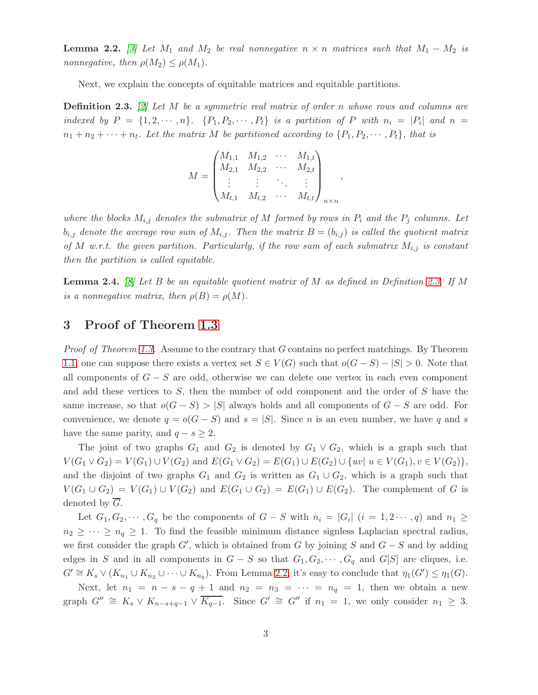<span id="page-2-1"></span>**Lemma 2.2.** [\[3\]](#page-9-7) Let  $M_1$  and  $M_2$  be real nonnegative  $n \times n$  matrices such that  $M_1 - M_2$  is nonnegative, then  $\rho(M_2) \leq \rho(M_1)$ .

Next, we explain the concepts of equitable matrices and equitable partitions.

<span id="page-2-0"></span>**Definition 2.3.** [\[2\]](#page-9-8) Let M be a symmetric real matrix of order n whose rows and columns are indexed by  $P = \{1, 2, \dots, n\}$ .  $\{P_1, P_2, \dots, P_t\}$  is a partition of P with  $n_i = |P_i|$  and  $n =$  $n_1 + n_2 + \cdots + n_t$ . Let the matrix M be partitioned according to  $\{P_1, P_2, \cdots, P_t\}$ , that is

$$
M = \begin{pmatrix} M_{1,1} & M_{1,2} & \cdots & M_{1,t} \\ M_{2,1} & M_{2,2} & \cdots & M_{2,t} \\ \vdots & \vdots & \ddots & \vdots \\ M_{t,1} & M_{t,2} & \cdots & M_{t,t} \end{pmatrix}_{n \times n}
$$

,

where the blocks  $M_{i,j}$  denotes the submatrix of M formed by rows in  $P_i$  and the  $P_j$  columns. Let  $b_{i,j}$  denote the average row sum of  $M_{i,j}$ . Then the matrix  $B=(b_{i,j})$  is called the quotient matrix of M w.r.t. the given partition. Particularly, if the row sum of each submatrix  $M_{i,j}$  is constant then the partition is called equitable.

**Lemma 2.4.** [\[8\]](#page-9-9) Let B be an equitable quotient matrix of M as defined in Definition [2.3.](#page-2-0) If M is a nonnegative matrix, then  $\rho(B) = \rho(M)$ .

### 3 Proof of Theorem [1.3](#page-1-1)

*Proof of Theorem [1.3.](#page-1-1)* Assume to the contrary that G contains no perfect matchings. By Theorem [1.1,](#page-1-2) one can suppose there exists a vertex set  $S \in V(G)$  such that  $o(G-S) - |S| > 0$ . Note that all components of  $G - S$  are odd, otherwise we can delete one vertex in each even component and add these vertices to S, then the number of odd component and the order of S have the same increase, so that  $o(G-S) > |S|$  always holds and all components of  $G-S$  are odd. For convenience, we denote  $q = o(G - S)$  and  $s = |S|$ . Since n is an even number, we have q and s have the same parity, and  $q - s \geq 2$ .

The joint of two graphs  $G_1$  and  $G_2$  is denoted by  $G_1 \vee G_2$ , which is a graph such that  $V(G_1 \vee G_2) = V(G_1) \cup V(G_2)$  and  $E(G_1 \vee G_2) = E(G_1) \cup E(G_2) \cup \{uv | u \in V(G_1), v \in V(G_2)\},$ and the disjoint of two graphs  $G_1$  and  $G_2$  is written as  $G_1 \cup G_2$ , which is a graph such that  $V(G_1 \cup G_2) = V(G_1) \cup V(G_2)$  and  $E(G_1 \cup G_2) = E(G_1) \cup E(G_2)$ . The complement of G is denoted by  $\overline{G}$ .

Let  $G_1, G_2, \dots, G_q$  be the components of  $G - S$  with  $n_i = |G_i|$   $(i = 1, 2 \dots, q)$  and  $n_1 \geq$  $n_2 \geq \cdots \geq n_q \geq 1$ . To find the feasible minimum distance signless Laplacian spectral radius, we first consider the graph  $G'$ , which is obtained from G by joining S and  $G - S$  and by adding edges in S and in all components in  $G - S$  so that  $G_1, G_2, \cdots, G_q$  and  $G[S]$  are cliques, i.e.  $G' \cong K_s \vee (K_{n_1} \cup K_{n_2} \cup \cdots \cup K_{n_q})$ . From Lemma [2.2,](#page-2-1) it's easy to conclude that  $\eta_1(G') \leq \eta_1(G)$ .

Next, let  $n_1 = n - s - q + 1$  and  $n_2 = n_3 = \cdots = n_q = 1$ , then we obtain a new graph  $G'' \cong K_s \vee K_{n-s+q-1} \vee \overline{K_{q-1}}$ . Since  $G' \cong G''$  if  $n_1 = 1$ , we only consider  $n_1 \geq 3$ .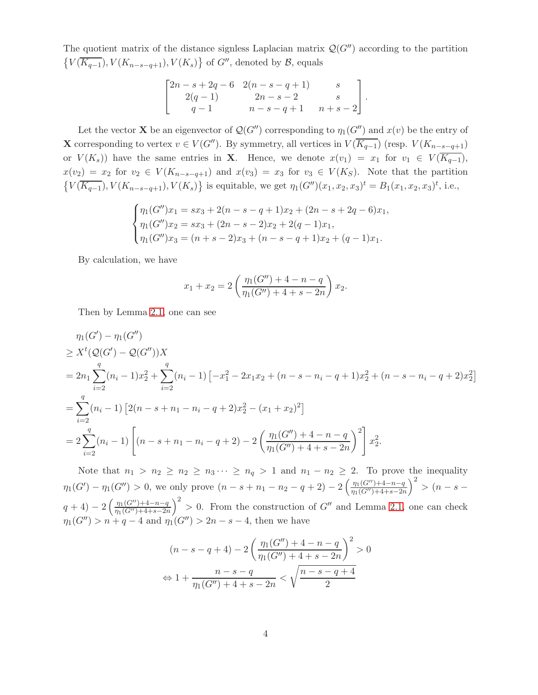The quotient matrix of the distance signless Laplacian matrix  $\mathcal{Q}(G'')$  according to the partition  $\{V(\overline{K_{q-1}}), V(K_{n-s-q+1}), V(K_s)\}\$  of  $G''$ , denoted by  $\mathcal{B}$ , equals

$$
\begin{bmatrix} 2n - s + 2q - 6 & 2(n - s - q + 1) & s \\ 2(q - 1) & 2n - s - 2 & s \\ q - 1 & n - s - q + 1 & n + s - 2 \end{bmatrix}.
$$

Let the vector **X** be an eigenvector of  $\mathcal{Q}(G'')$  corresponding to  $\eta_1(G'')$  and  $x(v)$  be the entry of **X** corresponding to vertex  $v \in V(G'')$ . By symmetry, all vertices in  $V(\overline{K_{q-1}})$  (resp.  $V(K_{n-s-q+1})$ ) or  $V(K_s)$  have the same entries in **X**. Hence, we denote  $x(v_1) = x_1$  for  $v_1 \in V(\overline{K_{q-1}})$ ,  $x(v_2) = x_2$  for  $v_2 \in V(K_{n-s-q+1})$  and  $x(v_3) = x_3$  for  $v_3 \in V(K_S)$ . Note that the partition  $\{V(\overline{K_{q-1}}), V(K_{n-s-q+1}), V(K_s)\}\$ is equitable, we get  $\eta_1(G'')(x_1, x_2, x_3)^t = B_1(x_1, x_2, x_3)^t$ , i.e.,

$$
\begin{cases}\n\eta_1(G'')x_1 = sx_3 + 2(n - s - q + 1)x_2 + (2n - s + 2q - 6)x_1, \\
\eta_1(G'')x_2 = sx_3 + (2n - s - 2)x_2 + 2(q - 1)x_1, \\
\eta_1(G'')x_3 = (n + s - 2)x_3 + (n - s - q + 1)x_2 + (q - 1)x_1.\n\end{cases}
$$

By calculation, we have

$$
x_1 + x_2 = 2\left(\frac{\eta_1(G'') + 4 - n - q}{\eta_1(G'') + 4 + s - 2n}\right)x_2.
$$

Then by Lemma [2.1,](#page-1-3) one can see

$$
\eta_1(G') - \eta_1(G'')
$$
  
\n
$$
\geq X^t (Q(G') - Q(G''))X
$$
  
\n
$$
= 2n_1 \sum_{i=2}^q (n_i - 1)x_2^2 + \sum_{i=2}^q (n_i - 1) \left[ -x_1^2 - 2x_1x_2 + (n - s - n_i - q + 1)x_2^2 + (n - s - n_i - q + 2)x_2^2 \right]
$$
  
\n
$$
= \sum_{i=2}^q (n_i - 1) \left[ 2(n - s + n_1 - n_i - q + 2)x_2^2 - (x_1 + x_2)^2 \right]
$$
  
\n
$$
= 2 \sum_{i=2}^q (n_i - 1) \left[ (n - s + n_1 - n_i - q + 2) - 2 \left( \frac{\eta_1(G'') + 4 - n - q}{\eta_1(G'') + 4 + s - 2n} \right)^2 \right] x_2^2.
$$

Note that  $n_1 > n_2 \ge n_3 \cdots \ge n_q > 1$  and  $n_1 - n_2 \ge 2$ . To prove the inequality  $\eta_1(G') - \eta_1(G'') > 0$ , we only prove  $(n - s + n_1 - n_2 - q + 2) - 2\left(\frac{\eta_1(G'') + 4 - n - q}{\eta_1(G'') + 4 + s - 2n}\right)$  $\frac{1}{\eta_1(G'')+4+s-2n}$  $\big)^2 > (n - s - )$  $q+4$ ) – 2  $\left(\frac{\eta_1(G'')+4-n-q}{\eta_1(G'')+4+s-2n}\right)$  $\frac{n_1(G'')+4+s-2n}{n_1(G'')+4+s-2n}$  $\int_{0}^{2}$  > 0. From the construction of G'' and Lemma [2.1,](#page-1-3) one can check  $\eta_1(G'') > n + q - 4$  and  $\eta_1(G'') > 2n - s - 4$ , then we have

$$
(n-s-q+4) - 2\left(\frac{\eta_1(G'') + 4 - n - q}{\eta_1(G'') + 4 + s - 2n}\right)^2 > 0
$$
  

$$
\Leftrightarrow 1 + \frac{n-s-q}{\eta_1(G'') + 4 + s - 2n} < \sqrt{\frac{n-s-q+4}{2}}
$$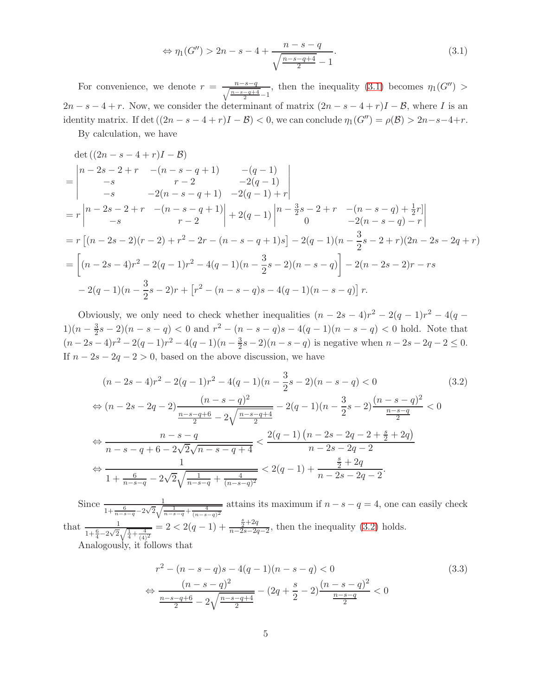<span id="page-4-0"></span>
$$
\Leftrightarrow \eta_1(G'') > 2n - s - 4 + \frac{n - s - q}{\sqrt{\frac{n - s - q + 4}{2}} - 1}.\tag{3.1}
$$

For convenience, we denote  $r = \frac{n-s-q}{\sqrt{\frac{n-s-q+4}{2}}-1}$ , then the inequality [\(3.1\)](#page-4-0) becomes  $\eta_1(G'')$  $2n - s - 4 + r$ . Now, we consider the determinant of matrix  $(2n - s - 4 + r)I - \mathcal{B}$ , where I is an identity matrix. If det  $((2n - s - 4 + r)I - B) < 0$ , we can conclude  $\eta_1(G'') = \rho(B) > 2n - s - 4 + r$ .

By calculation, we have

$$
\det ((2n - s - 4 + r)I - B)
$$
\n
$$
= \begin{vmatrix}\nn - 2s - 2 + r & -(n - s - q + 1) & -(q - 1) \\
-s & r - 2 & -2(q - 1) \\
-s & -2(n - s - q + 1) & -2(q - 1) + r\n\end{vmatrix}
$$
\n
$$
= r \begin{vmatrix}\nn - 2s - 2 + r & -(n - s - q + 1) \\
-s & r - 2\n\end{vmatrix} + 2(q - 1) \begin{vmatrix}\nn - \frac{3}{2}s - 2 + r & -(n - s - q) + \frac{1}{2}r \\
0 & -2(n - s - q) - r\n\end{vmatrix}
$$
\n
$$
= r [(n - 2s - 2)(r - 2) + r^2 - 2r - (n - s - q + 1)s] - 2(q - 1)(n - \frac{3}{2}s - 2 + r)(2n - 2s - 2q + r)
$$
\n
$$
= \left[ (n - 2s - 4)r^2 - 2(q - 1)r^2 - 4(q - 1)(n - \frac{3}{2}s - 2)(n - s - q) \right] - 2(n - 2s - 2)r - rs
$$
\n
$$
- 2(q - 1)(n - \frac{3}{2}s - 2)r + [r^2 - (n - s - q)s - 4(q - 1)(n - s - q)] r.
$$

Obviously, we only need to check whether inequalities  $(n - 2s - 4)r^2 - 2(q - 1)r^2 - 4(q 1)(n-\frac{3}{2})$  $\frac{3}{2}s - 2(n - s - q) < 0$  and  $r^2 - (n - s - q)s - 4(q - 1)(n - s - q) < 0$  hold. Note that  $(n-2s-4)r^2-2(q-1)r^2-4(q-1)(n-\frac{3}{2})$  $\frac{3}{2}s - 2(n - s - q)$  is negative when  $n - 2s - 2q - 2 \leq 0$ . If  $n - 2s - 2q - 2 > 0$ , based on the above discussion, we have

<span id="page-4-1"></span>
$$
(n-2s-4)r^2 - 2(q-1)r^2 - 4(q-1)(n-\frac{3}{2}s-2)(n-s-q) < 0
$$
\n
$$
\Leftrightarrow (n-2s-2q-2)\frac{(n-s-q)^2}{\frac{n-s-q+6}{2} - 2\sqrt{\frac{n-s-q+4}{2}}} - 2(q-1)(n-\frac{3}{2}s-2)\frac{(n-s-q)^2}{\frac{n-s-q}{2}} < 0
$$
\n
$$
\Leftrightarrow \frac{n-s-q}{n-s-q+6-2\sqrt{2}\sqrt{n-s-q+4}} < \frac{2(q-1)(n-2s-2q-2+\frac{s}{2}+2q)}{n-2s-2q-2}
$$
\n
$$
\Leftrightarrow \frac{1}{1+\frac{6}{n-s-q}-2\sqrt{2}\sqrt{\frac{1}{n-s-q}+\frac{4}{(n-s-q)^2}}} < 2(q-1)+\frac{\frac{s}{2}+2q}{n-2s-2q-2}.
$$
\n(3.2)

Since  $\frac{1}{1+\frac{6}{n-s-q}-2\sqrt{2}\sqrt{\frac{1}{n-s-q}+\frac{4}{(n-s-q)^2}}}$  attains its maximum if  $n-s-q=4$ , one can easily check that  $\frac{1}{1+\frac{6}{4}-2\sqrt{2}\sqrt{\frac{1}{4}+\frac{4}{(4)^2}}} = 2 < 2(q-1) + \frac{\frac{5}{2}+2q}{n-2s-2q}$  $\frac{\frac{2}{2}+2q}{n-2s-2q-2}$ , then the inequality [\(3.2\)](#page-4-1) holds. Analogously, it follows that

<span id="page-4-2"></span>
$$
r^{2} - (n - s - q)s - 4(q - 1)(n - s - q) < 0
$$
  
\n
$$
\Leftrightarrow \frac{(n - s - q)^{2}}{\frac{n - s - q + 6}{2} - 2\sqrt{\frac{n - s - q + 4}{2}}} - (2q + \frac{s}{2} - 2)\frac{(n - s - q)^{2}}{\frac{n - s - q}{2}} < 0
$$
\n(3.3)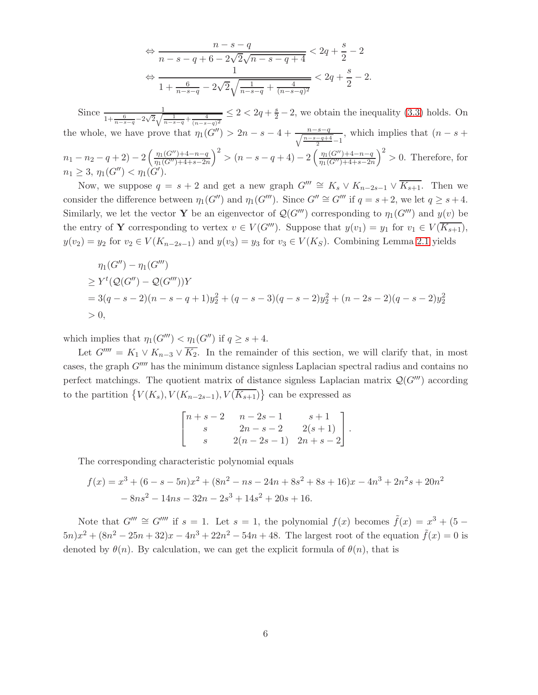$$
\Leftrightarrow \frac{n-s-q}{n-s-q+6-2\sqrt{2}\sqrt{n-s-q+4}} < 2q + \frac{s}{2} - 2
$$
  

$$
\Leftrightarrow \frac{1}{1+\frac{6}{n-s-q} - 2\sqrt{2}\sqrt{\frac{1}{n-s-q} + \frac{4}{(n-s-q)^2}}} < 2q + \frac{s}{2} - 2.
$$

Since  $\frac{1}{1+\frac{6}{n-s-q}-2\sqrt{2}\sqrt{\frac{1}{n-s-q}+\frac{4}{(n-s-q)^2}}} \leq 2 < 2q+\frac{s}{2}-2$ , we obtain the inequality [\(3.3\)](#page-4-2) holds. On the whole, we have prove that  $\eta_1(G'') > 2n - s - 4 + \frac{n-s-q}{\sqrt{n-s-q+4}-1}$ , which implies that  $(n-s+1)$  $\frac{-q+4}{2} - 1$  $n_1 - n_2 - q + 2 - \frac{\eta_1(G'') + 4 - n - q}{\eta_1(G'') + 4 + s - 2r}$  $\frac{n_1(G'')+4+s-2n}{n_1(G'')+4+s-2n}$  $\int^{2}$  >  $(n-s-q+4) - 2\left(\frac{\eta_{1}(G'') + 4 - n - q}{\eta_{1}(G'') + 4 + s - 2n}\right)$  $\frac{1}{\eta_1(G'')+4+s-2n}$  $\big)^2 > 0$ . Therefore, for  $n_1 \geq 3, \eta_1(G'') < \eta_1(G').$ 

Now, we suppose  $q = s + 2$  and get a new graph  $G'''' \cong K_s \vee K_{n-2s-1} \vee \overline{K_{s+1}}$ . Then we consider the difference between  $\eta_1(G'')$  and  $\eta_1(G''')$ . Since  $G'' \cong G'''$  if  $q = s + 2$ , we let  $q \geq s + 4$ . Similarly, we let the vector **Y** be an eigenvector of  $Q(G''')$  corresponding to  $\eta_1(G''')$  and  $y(v)$  be the entry of Y corresponding to vertex  $v \in V(G''')$ . Suppose that  $y(v_1) = y_1$  for  $v_1 \in V(\overline{K_{s+1}})$ ,  $y(v_2) = y_2$  for  $v_2 \in V(K_{n-2s-1})$  and  $y(v_3) = y_3$  for  $v_3 \in V(K_S)$ . Combining Lemma [2.1](#page-1-3) yields

$$
\eta_1(G'') - \eta_1(G''')
$$
  
\n
$$
\ge Y^t(Q(G'') - Q(G'''))Y
$$
  
\n
$$
= 3(q - s - 2)(n - s - q + 1)y_2^2 + (q - s - 3)(q - s - 2)y_2^2 + (n - 2s - 2)(q - s - 2)y_2^2
$$
  
\n
$$
> 0,
$$

which implies that  $\eta_1(G''') < \eta_1(G'')$  if  $q \geq s+4$ .

Let  $G'''' = K_1 \vee K_{n-3} \vee \overline{K_2}$ . In the remainder of this section, we will clarify that, in most cases, the graph  $G^{\prime\prime\prime\prime}$  has the minimum distance signless Laplacian spectral radius and contains no perfect matchings. The quotient matrix of distance signless Laplacian matrix  $\mathcal{Q}(G''')$  according to the partition  $\{V(K_s), V(K_{n-2s-1}), V(\overline{K_{s+1}})\}$  can be expressed as

$$
\begin{bmatrix} n+s-2 & n-2s-1 & s+1 \ s & 2n-s-2 & 2(s+1) \ s & 2(n-2s-1) & 2n+s-2 \end{bmatrix}.
$$

The corresponding characteristic polynomial equals

$$
f(x) = x3 + (6 - s - 5n)x2 + (8n2 - ns - 24n + 8s2 + 8s + 16)x - 4n3 + 2n2s + 20n2 - 8ns2 - 14ns - 32n - 2s3 + 14s2 + 20s + 16.
$$

Note that  $G''' \cong G''''$  if  $s = 1$ . Let  $s = 1$ , the polynomial  $f(x)$  becomes  $\tilde{f}(x) = x^3 + (5 (5n)x^{2} + (8n^{2} - 25n + 32)x - 4n^{3} + 22n^{2} - 54n + 48$ . The largest root of the equation  $\tilde{f}(x) = 0$  is denoted by  $\theta(n)$ . By calculation, we can get the explicit formula of  $\theta(n)$ , that is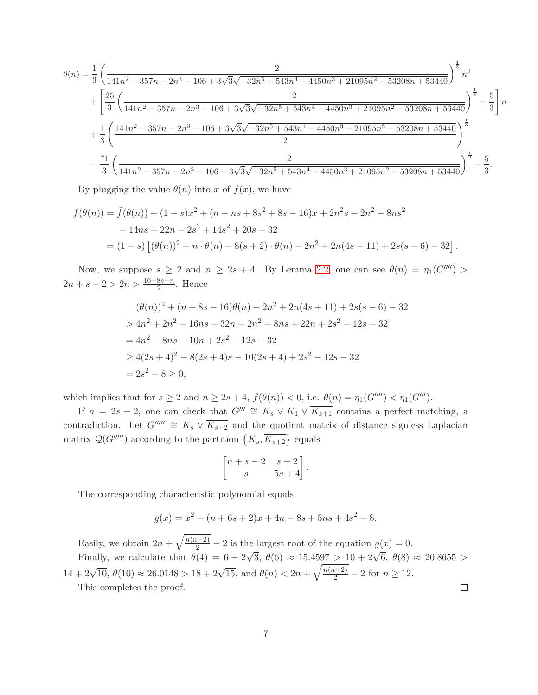$$
\theta(n) = \frac{1}{3} \left( \frac{2}{141n^2 - 357n - 2n^3 - 106 + 3\sqrt{3}\sqrt{-32n^5 + 543n^4 - 4450n^3 + 21095n^2 - 53208n + 53440}} \right)^{\frac{1}{3}} n^2
$$
  
+ 
$$
\left[ \frac{25}{3} \left( \frac{2}{141n^2 - 357n - 2n^3 - 106 + 3\sqrt{3}\sqrt{-32n^5 + 543n^4 - 4450n^3 + 21095n^2 - 53208n + 53440}} \right)^{\frac{1}{3}} + \frac{5}{3} \right] n
$$
  
+ 
$$
\frac{1}{3} \left( \frac{141n^2 - 357n - 2n^3 - 106 + 3\sqrt{3}\sqrt{-32n^5 + 543n^4 - 4450n^3 + 21095n^2 - 53208n + 53440}}{2} \right)^{\frac{1}{3}}
$$
  
- 
$$
\frac{71}{3} \left( \frac{2}{141n^2 - 357n - 2n^3 - 106 + 3\sqrt{3}\sqrt{-32n^5 + 543n^4 - 4450n^3 + 21095n^2 - 53208n + 53440}}{2} \right)^{\frac{1}{3}} - \frac{5}{3}.
$$

By plugging the value  $\theta(n)$  into x of  $f(x)$ , we have

$$
f(\theta(n)) = \tilde{f}(\theta(n)) + (1 - s)x^{2} + (n - ns + 8s^{2} + 8s - 16)x + 2n^{2}s - 2n^{2} - 8ns^{2}
$$
  
- 14ns + 22n - 2s<sup>3</sup> + 14s<sup>2</sup> + 20s - 32  
= (1 - s) [( $\theta(n)$ )<sup>2</sup> + n ·  $\theta(n)$  - 8(s + 2) ·  $\theta(n)$  - 2n<sup>2</sup> + 2n(4s + 11) + 2s(s - 6) - 32].

Now, we suppose  $s \geq 2$  and  $n \geq 2s + 4$ . By Lemma [2.2,](#page-2-1) one can see  $\theta(n) = \eta_1(G''')$  $2n + s - 2 > 2n > \frac{16+8s-n}{2}$ . Hence

$$
(\theta(n))^2 + (n - 8s - 16)\theta(n) - 2n^2 + 2n(4s + 11) + 2s(s - 6) - 32
$$
  
> 4n<sup>2</sup> + 2n<sup>2</sup> - 16ns - 32n - 2n<sup>2</sup> + 8ns + 22n + 2s<sup>2</sup> - 12s - 32  
= 4n<sup>2</sup> - 8ns - 10n + 2s<sup>2</sup> - 12s - 32  
\ge 4(2s + 4)<sup>2</sup> - 8(2s + 4)s - 10(2s + 4) + 2s<sup>2</sup> - 12s - 32  
= 2s<sup>2</sup> - 8 \ge 0,

which implies that for  $s \geq 2$  and  $n \geq 2s + 4$ ,  $f(\theta(n)) < 0$ , i.e.  $\theta(n) = \eta_1(G''') < \eta_1(G''')$ .

If  $n = 2s + 2$ , one can check that  $G''' \cong K_s \vee K_1 \vee \overline{K_{s+1}}$  contains a perfect matching, a contradiction. Let  $G'''' \cong K_s \vee \overline{K_{s+2}}$  and the quotient matrix of distance signless Laplacian matrix  $\mathcal{Q}(G''''')$  according to the partition  $\{K_s, \overline{K_{s+2}}\}$  equals

$$
\begin{bmatrix} n+s-2 & s+2 \ s & 5s+4 \end{bmatrix}.
$$

The corresponding characteristic polynomial equals

$$
g(x) = x2 - (n + 6s + 2)x + 4n - 8s + 5ns + 4s2 - 8.
$$

Easily, we obtain  $2n + \sqrt{\frac{n(n+2)}{2}} - 2$  is the largest root of the equation  $g(x) = 0$ . Finally, we calculate that  $\theta(4) = 6 + 2\sqrt{3}$ ,  $\theta(6) \approx 15.4597 > 10 + 2\sqrt{6}$ ,  $\theta(8) \approx 20.8655 >$  $14 + 2\sqrt{10}, \ \theta(10) \approx 26.0148 > 18 + 2\sqrt{15}, \text{ and } \theta(n) < 2n + \sqrt{\frac{n(n+2)}{2}} - 2 \text{ for } n \ge 12.$  $\Box$ 

This completes the proof.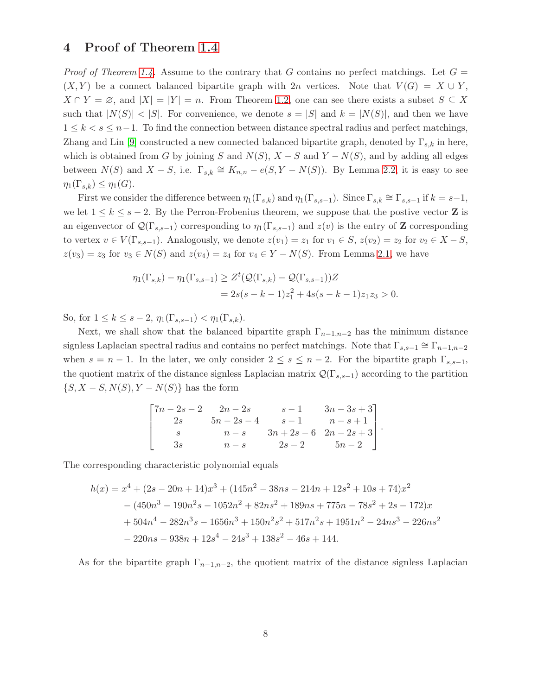#### 4 Proof of Theorem [1.4](#page-1-4)

*Proof of Theorem [1.4.](#page-1-4)* Assume to the contrary that G contains no perfect matchings. Let  $G =$  $(X, Y)$  be a connect balanced bipartite graph with 2n vertices. Note that  $V(G) = X \cup Y$ ,  $X \cap Y = \emptyset$ , and  $|X| = |Y| = n$ . From Theorem [1.2,](#page-1-0) one can see there exists a subset  $S \subseteq X$ such that  $|N(S)| < |S|$ . For convenience, we denote  $s = |S|$  and  $k = |N(S)|$ , and then we have  $1 \leq k < s \leq n-1$ . To find the connection between distance spectral radius and perfect matchings, Zhang and Lin [\[9\]](#page-9-6) constructed a new connected balanced bipartite graph, denoted by  $\Gamma_{s,k}$  in here, which is obtained from G by joining S and  $N(S)$ ,  $X - S$  and  $Y - N(S)$ , and by adding all edges between  $N(S)$  and  $X - S$ , i.e.  $\Gamma_{s,k} \cong K_{n,n} - e(S, Y - N(S))$ . By Lemma [2.2,](#page-2-1) it is easy to see  $\eta_1(\Gamma_{s,k}) \leq \eta_1(G).$ 

First we consider the difference between  $\eta_1(\Gamma_{s,k})$  and  $\eta_1(\Gamma_{s,s-1})$ . Since  $\Gamma_{s,k} \cong \Gamma_{s,s-1}$  if  $k = s-1$ , we let  $1 \leq k \leq s-2$ . By the Perron-Frobenius theorem, we suppose that the postive vector **Z** is an eigenvector of  $\mathcal{Q}(\Gamma_{s,s-1})$  corresponding to  $\eta_1(\Gamma_{s,s-1})$  and  $z(v)$  is the entry of **Z** corresponding to vertex  $v \in V(\Gamma_{s,s-1})$ . Analogously, we denote  $z(v_1) = z_1$  for  $v_1 \in S$ ,  $z(v_2) = z_2$  for  $v_2 \in X - S$ ,  $z(v_3) = z_3$  for  $v_3 \in N(S)$  and  $z(v_4) = z_4$  for  $v_4 \in Y - N(S)$ . From Lemma [2.1,](#page-1-3) we have

$$
\eta_1(\Gamma_{s,k}) - \eta_1(\Gamma_{s,s-1}) \ge Z^t(Q(\Gamma_{s,k}) - Q(\Gamma_{s,s-1}))Z
$$
  
= 2s(s-k-1)z\_1^2 + 4s(s-k-1)z\_1z\_3 > 0.

So, for  $1 \le k \le s - 2$ ,  $\eta_1(\Gamma_{s,s-1}) < \eta_1(\Gamma_{s,k})$ .

Next, we shall show that the balanced bipartite graph  $\Gamma_{n-1,n-2}$  has the minimum distance signless Laplacian spectral radius and contains no perfect matchings. Note that  $\Gamma_{s,s-1} \cong \Gamma_{n-1,n-2}$ when  $s = n - 1$ . In the later, we only consider  $2 \leq s \leq n - 2$ . For the bipartite graph  $\Gamma_{s,s-1}$ , the quotient matrix of the distance signless Laplacian matrix  $\mathcal{Q}(\Gamma_{s,s-1})$  according to the partition  $\{S, X-S, N(S), Y-N(S)\}\$ has the form

$$
\begin{bmatrix} 7n - 2s - 2 & 2n - 2s & s - 1 & 3n - 3s + 3 \ 2s & 5n - 2s - 4 & s - 1 & n - s + 1 \ s & n - s & 3n + 2s - 6 & 2n - 2s + 3 \ 3s & n - s & 2s - 2 & 5n - 2 \end{bmatrix}.
$$

The corresponding characteristic polynomial equals

$$
h(x) = x4 + (2s - 20n + 14)x3 + (145n2 - 38ns - 214n + 12s2 + 10s + 74)x2
$$
  
-(450n<sup>3</sup> - 190n<sup>2</sup>s - 1052n<sup>2</sup> + 82ns<sup>2</sup> + 189ns + 775n - 78s<sup>2</sup> + 2s - 172)x  
+ 504n<sup>4</sup> - 282n<sup>3</sup>s - 1656n<sup>3</sup> + 150n<sup>2</sup>s<sup>2</sup> + 517n<sup>2</sup>s + 1951n<sup>2</sup> - 24ns<sup>3</sup> - 226ns<sup>2</sup>  
- 220ns - 938n + 12s<sup>4</sup> - 24s<sup>3</sup> + 138s<sup>2</sup> - 46s + 144.

As for the bipartite graph  $\Gamma_{n-1,n-2}$ , the quotient matrix of the distance signless Laplacian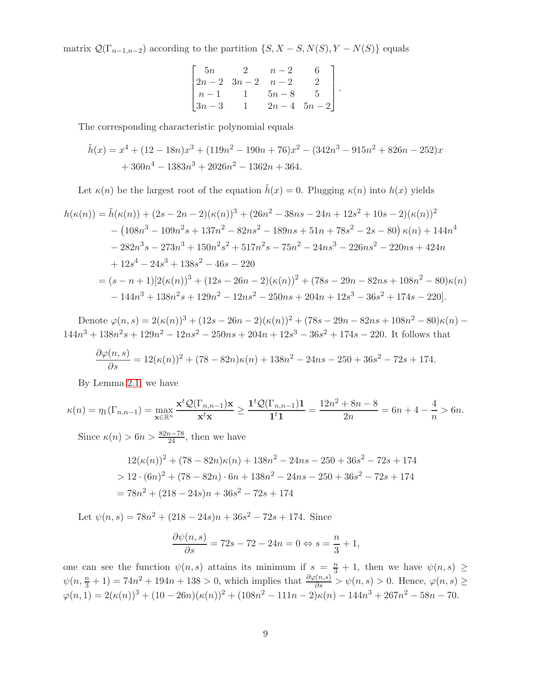matrix  $\mathcal{Q}(\Gamma_{n-1,n-2})$  according to the partition  $\{S, X-S, N(S), Y-N(S)\}$  equals

$$
\begin{bmatrix} 5n & 2 & n-2 & 6 \ 2n-2 & 3n-2 & n-2 & 2 \ n-1 & 1 & 5n-8 & 5 \ 3n-3 & 1 & 2n-4 & 5n-2 \end{bmatrix}.
$$

The corresponding characteristic polynomial equals

$$
\tilde{h}(x) = x^4 + (12 - 18n)x^3 + (119n^2 - 190n + 76)x^2 - (342n^3 - 915n^2 + 826n - 252)x
$$
  
+ 360n<sup>4</sup> - 1383n<sup>3</sup> + 2026n<sup>2</sup> - 1362n + 364.

Let  $\kappa(n)$  be the largest root of the equation  $\tilde{h}(x) = 0$ . Plugging  $\kappa(n)$  into  $h(x)$  yields

$$
h(\kappa(n)) = \tilde{h}(\kappa(n)) + (2s - 2n - 2)(\kappa(n))^3 + (26n^2 - 38ns - 24n + 12s^2 + 10s - 2)(\kappa(n))^2
$$
  
\n
$$
- (108n^3 - 109n^2s + 137n^2 - 82ns^2 - 189ns + 51n + 78s^2 - 2s - 80) \kappa(n) + 144n^4
$$
  
\n
$$
- 282n^3s - 273n^3 + 150n^2s^2 + 517n^2s - 75n^2 - 24ns^3 - 226ns^2 - 220ns + 424n
$$
  
\n
$$
+ 12s^4 - 24s^3 + 138s^2 - 46s - 220
$$
  
\n
$$
= (s - n + 1)[2(\kappa(n))^3 + (12s - 26n - 2)(\kappa(n))^2 + (78s - 29n - 82ns + 108n^2 - 80)\kappa(n)
$$
  
\n
$$
- 144n^3 + 138n^2s + 129n^2 - 12ns^2 - 250ns + 204n + 12s^3 - 36s^2 + 174s - 220].
$$

Denote  $\varphi(n,s) = 2(\kappa(n))^3 + (12s - 26n - 2)(\kappa(n))^2 + (78s - 29n - 82ns + 108n^2 - 80)\kappa(n)$  $144n^3 + 138n^2s + 129n^2 - 12ns^2 - 250ns + 204n + 12s^3 - 36s^2 + 174s - 220$ . It follows that

$$
\frac{\partial \varphi(n,s)}{\partial s} = 12(\kappa(n))^2 + (78 - 82n)\kappa(n) + 138n^2 - 24ns - 250 + 36s^2 - 72s + 174.
$$

By Lemma [2.1,](#page-1-3) we have

$$
\kappa(n) = \eta_1(\Gamma_{n,n-1}) = \max_{\mathbf{x} \in \mathbb{R}^n} \frac{\mathbf{x}^t \mathcal{Q}(\Gamma_{n,n-1}) \mathbf{x}}{\mathbf{x}^t \mathbf{x}} \ge \frac{\mathbf{1}^t \mathcal{Q}(\Gamma_{n,n-1}) \mathbf{1}}{\mathbf{1}^t \mathbf{1}} = \frac{12n^2 + 8n - 8}{2n} = 6n + 4 - \frac{4}{n} > 6n.
$$

Since  $\kappa(n) > 6n > \frac{82n-78}{24}$ , then we have

$$
12(\kappa(n))^2 + (78 - 82n)\kappa(n) + 138n^2 - 24ns - 250 + 36s^2 - 72s + 174
$$
  
> 12 \cdot (6n)<sup>2</sup> + (78 - 82n) \cdot 6n + 138n^2 - 24ns - 250 + 36s^2 - 72s + 174  
= 78n^2 + (218 - 24s)n + 36s^2 - 72s + 174

Let  $\psi(n,s) = 78n^2 + (218 - 24s)n + 36s^2 - 72s + 174$ . Since

$$
\frac{\partial \psi(n,s)}{\partial s} = 72s - 72 - 24n = 0 \Leftrightarrow s = \frac{n}{3} + 1,
$$

one can see the function  $\psi(n,s)$  attains its minimum if  $s = \frac{n}{3} + 1$ , then we have  $\psi(n,s) \ge$  $\psi(n, \frac{n}{3} + 1) = 74n^2 + 194n + 138 > 0$ , which implies that  $\frac{\partial \varphi(n, s)}{\partial s} > \psi(n, s) > 0$ . Hence,  $\varphi(n, s) \ge$  $\varphi(n,1) = 2(\kappa(n))^3 + (10 - 26n)(\kappa(n))^2 + (108n^2 - 111n - 2)\kappa(n) - 144n^3 + 267n^2 - 58n - 70.$